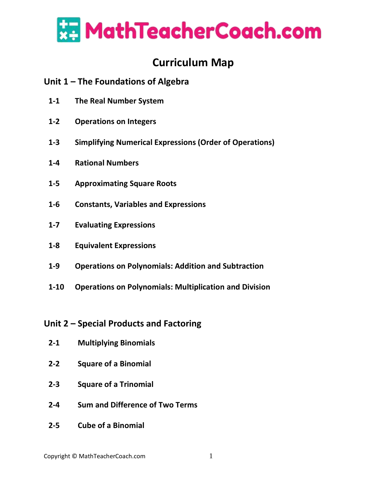

# **Curriculum Map**

## **Unit 1 – The Foundations of Algebra**

- **1-1 The Real Number System**
- **1-2 Operations on Integers**
- **1-3 Simplifying Numerical Expressions (Order of Operations)**
- **1-4 Rational Numbers**
- **1-5 Approximating Square Roots**
- **1-6 Constants, Variables and Expressions**
- **1-7 Evaluating Expressions**
- **1-8 Equivalent Expressions**
- **1-9 Operations on Polynomials: Addition and Subtraction**
- **1-10 Operations on Polynomials: Multiplication and Division**

## **Unit 2 – Special Products and Factoring**

- **2-1 Multiplying Binomials**
- **2-2 Square of a Binomial**
- **2-3 Square of a Trinomial**
- **2-4 Sum and Difference of Two Terms**
- **2-5 Cube of a Binomial**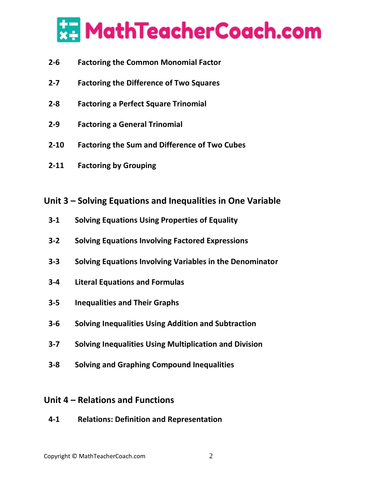

- **2-6 Factoring the Common Monomial Factor**
- **2-7 Factoring the Difference of Two Squares**
- **2-8 Factoring a Perfect Square Trinomial**
- **2-9 Factoring a General Trinomial**
- **2-10 Factoring the Sum and Difference of Two Cubes**
- **2-11 Factoring by Grouping**

#### **Unit 3 – Solving Equations and Inequalities in One Variable**

- **3-1 Solving Equations Using Properties of Equality**
- **3-2 Solving Equations Involving Factored Expressions**
- **3-3 Solving Equations Involving Variables in the Denominator**
- **3-4 Literal Equations and Formulas**
- **3-5 Inequalities and Their Graphs**
- **3-6 Solving Inequalities Using Addition and Subtraction**
- **3-7 Solving Inequalities Using Multiplication and Division**
- **3-8 Solving and Graphing Compound Inequalities**

## **Unit 4 – Relations and Functions**

**4-1 Relations: Definition and Representation**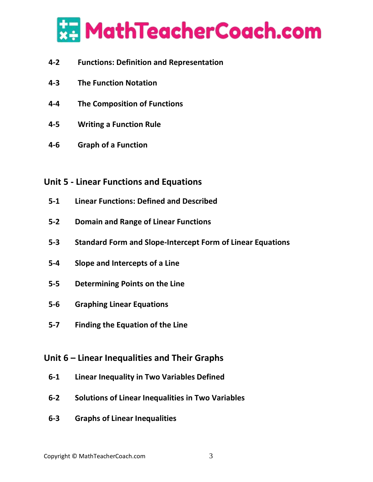

- **4-2 Functions: Definition and Representation**
- **4-3 The Function Notation**
- **4-4 The Composition of Functions**
- **4-5 Writing a Function Rule**
- **4-6 Graph of a Function**

## **Unit 5 - Linear Functions and Equations**

- **5-1 Linear Functions: Defined and Described**
- **5-2 Domain and Range of Linear Functions**
- **5-3 Standard Form and Slope-Intercept Form of Linear Equations**
- **5-4 Slope and Intercepts of a Line**
- **5-5 Determining Points on the Line**
- **5-6 Graphing Linear Equations**
- **5-7 Finding the Equation of the Line**

# **Unit 6 – Linear Inequalities and Their Graphs**

- **6-1 Linear Inequality in Two Variables Defined**
- **6-2 Solutions of Linear Inequalities in Two Variables**
- **6-3 Graphs of Linear Inequalities**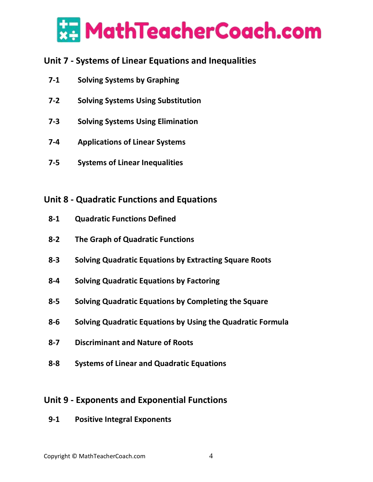

# **Unit 7 - Systems of Linear Equations and Inequalities**

- **7-1 Solving Systems by Graphing**
- **7-2 Solving Systems Using Substitution**
- **7-3 Solving Systems Using Elimination**
- **7-4 Applications of Linear Systems**
- **7-5 Systems of Linear Inequalities**

## **Unit 8 - Quadratic Functions and Equations**

- **8-1 Quadratic Functions Defined**
- **8-2 The Graph of Quadratic Functions**
- **8-3 Solving Quadratic Equations by Extracting Square Roots**
- **8-4 Solving Quadratic Equations by Factoring**
- **8-5 Solving Quadratic Equations by Completing the Square**
- **8-6 Solving Quadratic Equations by Using the Quadratic Formula**
- **8-7 Discriminant and Nature of Roots**
- **8-8 Systems of Linear and Quadratic Equations**

## **Unit 9 - Exponents and Exponential Functions**

**9-1 Positive Integral Exponents**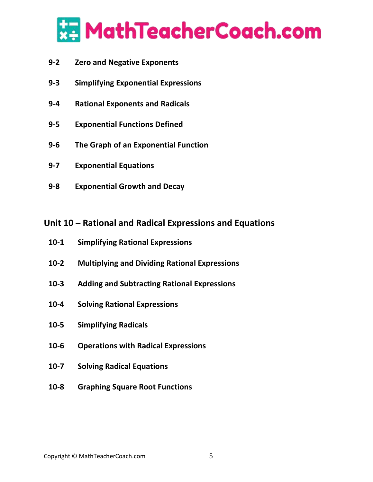

- **9-2 Zero and Negative Exponents**
- **9-3 Simplifying Exponential Expressions**
- **9-4 Rational Exponents and Radicals**
- **9-5 Exponential Functions Defined**
- **9-6 The Graph of an Exponential Function**
- **9-7 Exponential Equations**
- **9-8 Exponential Growth and Decay**

## **Unit 10 – Rational and Radical Expressions and Equations**

- **10-1 Simplifying Rational Expressions**
- **10-2 Multiplying and Dividing Rational Expressions**
- **10-3 Adding and Subtracting Rational Expressions**
- **10-4 Solving Rational Expressions**
- **10-5 Simplifying Radicals**
- **10-6 Operations with Radical Expressions**
- **10-7 Solving Radical Equations**
- **10-8 Graphing Square Root Functions**